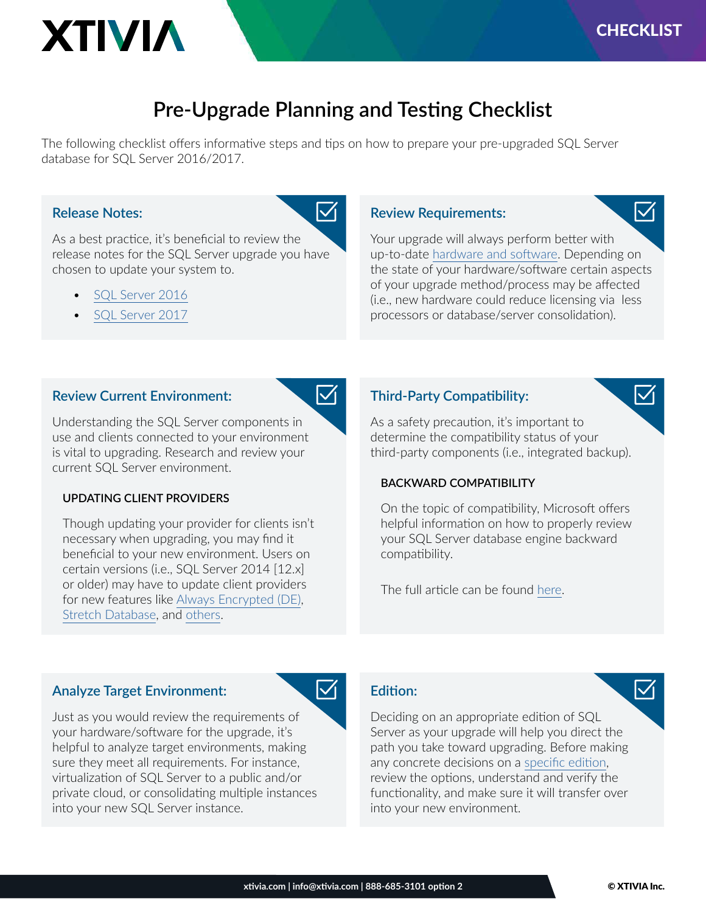$\sqrt{ }$ 

 $\blacktriangledown$ 

# **Pre-Upgrade Planning and Testing Checklist**

The following checklist offers informative steps and tips on how to prepare your pre-upgraded SQL Server database for SQL Server 2016/2017.

 $\blacktriangledown$ 

 $\blacktriangledown$ 

 $\blacktriangledown$ 

### **Release Notes:**

**XTIVIA** 

As a best practice, it's beneficial to review the release notes for the SQL Server upgrade you have chosen to update your system to.

- [SQL Server 2016](https://docs.microsoft.com/en-us/sql/sql-server/sql-server-2016-release-notes?view=sql-server-2016&viewFallbackFrom=sql-server-2017)
- [SQL Server 2017](https://docs.microsoft.com/en-us/sql/sql-server/sql-server-2017-release-notes?view=sql-server-2017)

### **Review Requirements:**

Your upgrade will always perform better with up-to-date [hardware and software.](https://docs.microsoft.com/en-us/sql/sql-server/install/hardware-and-software-requirements-for-installing-sql-server?view=sql-server-2017) Depending on the state of your hardware/software certain aspects of your upgrade method/process may be affected (i.e., new hardware could reduce licensing via less processors or database/server consolidation).

### **Review Current Environment:**

Understanding the SQL Server components in use and clients connected to your environment is vital to upgrading. Research and review your current SQL Server environment.

#### **UPDATING CLIENT PROVIDERS**

Though updating your provider for clients isn't necessary when upgrading, you may find it beneficial to your new environment. Users on certain versions (i.e., SQL Server 2014 [12.x] or older) may have to update client providers for new features like [Always Encrypted \(DE\)](https://docs.microsoft.com/en-us/sql/relational-databases/security/encryption/always-encrypted-database-engine?view=sql-server-2017), [Stretch Database](https://docs.microsoft.com/en-us/sql/sql-server/stretch-database/stretch-database?view=sql-server-2017), and [others](https://docs.microsoft.com/en-us/sql/database-engine/availability-groups/windows/listeners-client-connectivity-application-failover?view=sql-server-2017).

### **Third-Party Compatibility:**

As a safety precaution, it's important to determine the compatibility status of your third-party components (i.e., integrated backup).

### **BACKWARD COMPATIBILITY**

On the topic of compatibility, Microsoft offers helpful information on how to properly review your SQL Server database engine backward compatibility.

The full article can be found [here](https://docs.microsoft.com/en-us/sql/database-engine/sql-server-database-engine-backward-compatibility?view=sql-server-2017).

### **Analyze Target Environment:**

Just as you would review the requirements of your hardware/software for the upgrade, it's helpful to analyze target environments, making sure they meet all requirements. For instance, virtualization of SQL Server to a public and/or private cloud, or consolidating multiple instances into your new SQL Server instance.

### **Edition:**

Deciding on an appropriate edition of SQL Server as your upgrade will help you direct the path you take toward upgrading. Before making any concrete decisions on a [specific edition](https://docs.microsoft.com/en-us/sql/database-engine/install-windows/supported-version-and-edition-upgrades?view=sql-server-2017), review the options, understand and verify the functionality, and make sure it will transfer over into your new environment.